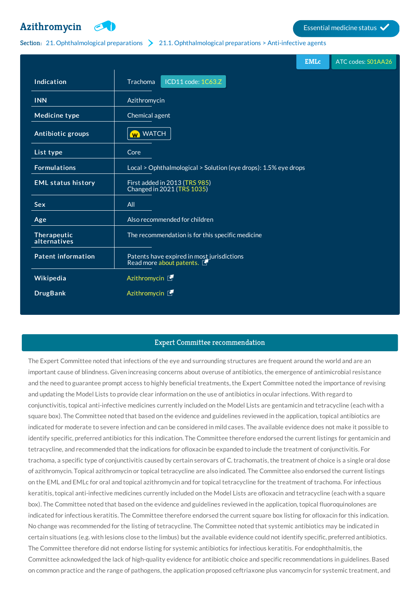# **[Azithromycin](http://list.essentialmeds.org/medicines/227) Example 3** Essential medicine status



#### Section: 21. [Ophthalmological](http://list.essentialmeds.org/?section=440) preparations 21.1. Ophthalmological preparations > Anti-infective agents

|                             | <b>EMLc</b>                                                            | ATC codes: S01AA26 |
|-----------------------------|------------------------------------------------------------------------|--------------------|
| Indication                  | ICD11 code: 1C63.Z<br>Trachoma                                         |                    |
| <b>INN</b>                  | Azithromycin                                                           |                    |
| <b>Medicine type</b>        | Chemical agent                                                         |                    |
| Antibiotic groups           | W WATCH                                                                |                    |
| List type                   | Core                                                                   |                    |
| <b>Formulations</b>         | Local > Ophthalmological > Solution (eye drops): 1.5% eye drops        |                    |
| <b>EML status history</b>   | First added in 2013 (TRS 985)<br>Changed in 2021 (TRS 1035)            |                    |
| <b>Sex</b>                  | All                                                                    |                    |
| Age                         | Also recommended for children                                          |                    |
| Therapeutic<br>alternatives | The recommendation is for this specific medicine                       |                    |
| <b>Patent information</b>   | Patents have expired in most jurisdictions<br>Read more about patents. |                    |
| Wikipedia                   | Azithromycin F                                                         |                    |
| <b>DrugBank</b>             | Azithromycin L                                                         |                    |

## Expert Committee recommendation

The Expert Committee noted that infections of the eye and surrounding structures are frequent around the world and are an important cause of blindness. Given increasing concerns about overuse of antibiotics, the emergence of antimicrobial resistance and the need to guarantee prompt access to highly beneficial treatments, the Expert Committee noted the importance of revising and updating the Model Lists to provide clear information on the use of antibiotics in ocular infections. With regard to conjunctivitis, topical anti-infective medicines currently included on the Model Lists are gentamicin and tetracycline (each with a square box). The Committee noted that based on the evidence and guidelines reviewed in the application, topical antibiotics are indicated for moderate to severe infection and can be considered in mild cases. The available evidence does not make it possible to identify specific, preferred antibiotics for this indication. The Committee therefore endorsed the current listings for gentamicin and tetracycline, and recommended that the indications for ofloxacin be expanded to include the treatment of conjunctivitis. For trachoma, a specific type of conjunctivitis caused by certain serovars of C. trachomatis, the treatment of choice is a single oral dose of azithromycin. Topical azithromycin or topical tetracycline are also indicated. The Committee also endorsed the current listings on the EML and EMLc for oral and topical azithromycin and for topical tetracycline for the treatment of trachoma. For infectious keratitis, topical anti-infective medicines currently included on the Model Lists are ofloxacin and tetracycline (each with a square box). The Committee noted that based on the evidence and guidelines reviewed in the application, topical fluoroquinolones are indicated for infectious keratitis. The Committee therefore endorsed the current square box listing for ofloxacin for this indication. No change was recommended for the listing of tetracycline. The Committee noted that systemic antibiotics may be indicated in certain situations (e.g. with lesions close to the limbus) but the available evidence could not identify specific, preferred antibiotics. The Committee therefore did not endorse listing for systemic antibiotics for infectious keratitis. For endophthalmitis, the Committee acknowledged the lack of high-quality evidence for antibiotic choice and specific recommendations in guidelines. Based on common practice and the range of pathogens, the application proposed ceftriaxone plus vancomycin for systemic treatment, and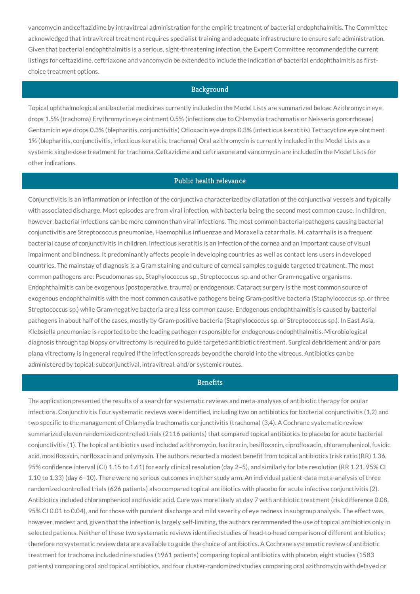vancomycin and ceftazidime by intravitreal administration for the empiric treatment of bacterial endophthalmitis. The Committee acknowledged that intravitreal treatment requires specialist training and adequate infrastructure to ensure safe administration. Given that bacterial endophthalmitis is a serious, sight-threatening infection, the Expert Committee recommended the current listings for ceftazidime, ceftriaxone and vancomycin be extended to include the indication of bacterial endophthalmitis as firstchoice treatment options.

# **Background**

Topical ophthalmological antibacterial medicines currently included in the Model Lists are summarized below: Azithromycin eye drops 1.5% (trachoma) Erythromycin eye ointment 0.5% (infections due to Chlamydia trachomatis or Neisseria gonorrhoeae) Gentamicin eye drops 0.3% (blepharitis, conjunctivitis) Ofloxacin eye drops 0.3% (infectious keratitis) Tetracycline eye ointment 1% (blepharitis, conjunctivitis, infectious keratitis, trachoma) Oral azithromycin is currently included in the Model Lists as a systemic single-dose treatment for trachoma. Ceftazidime and ceftriaxone and vancomycin are included in the Model Lists for other indications.

# Public health relevance

Conjunctivitis is an inflammation or infection of the conjunctiva characterized by dilatation of the conjunctival vessels and typically with associated discharge. Most episodes are from viral infection, with bacteria being the second most common cause. In children, however, bacterial infections can be more common than viral infections. The most common bacterial pathogens causing bacterial conjunctivitis are Streptococcus pneumoniae, Haemophilus influenzae and Moraxella catarrhalis. M. catarrhalis is a frequent bacterial cause of conjunctivitis in children. Infectious keratitis is an infection of the cornea and an important cause of visual impairment and blindness. It predominantly affects people in developing countries as well as contact lens users in developed countries. The mainstay of diagnosis is a Gram staining and culture of corneal samples to guide targeted treatment. The most common pathogens are: Pseudomonas sp., Staphylococcus sp., Streptococcus sp. and other Gram-negative organisms. Endophthalmitis can be exogenous (postoperative, trauma) or endogenous. Cataract surgery is the most common source of exogenous endophthalmitis with the most common causative pathogens being Gram-positive bacteria (Staphylococcus sp. or three Streptococcus sp.) while Gram-negative bacteria are a less common cause. Endogenous endophthalmitis is caused by bacterial pathogens in about half of the cases, mostly by Gram-positive bacteria (Staphylococcus sp. or Streptococcus sp.). In East Asia, Klebsiella pneumoniae is reported to be the leading pathogen responsible for endogenous endophthalmitis. Microbiological diagnosis through tap biopsy or vitrectomy is required to guide targeted antibiotic treatment. Surgical debridement and/or pars plana vitrectomy is in general required if the infection spreads beyond the choroid into the vitreous. Antibiotics can be administered by topical, subconjunctival, intravitreal, and/or systemic routes.

## **Benefits**

The application presented the results of a search for systematic reviews and meta-analyses of antibiotic therapy for ocular infections. Conjunctivitis Four systematic reviews were identified, including two on antibiotics for bacterial conjunctivitis (1,2) and two specific to the management of Chlamydia trachomatis conjunctivitis (trachoma) (3,4). A Cochrane systematic review summarized eleven randomized controlled trials (2116 patients) that compared topical antibiotics to placebo for acute bacterial conjunctivitis (1). The topical antibiotics used included azithromycin, bacitracin, besifloxacin, ciprofloxacin, chloramphenicol, fusidic acid, moxifloxacin, norfloxacin and polymyxin. The authors reported a modest benefit from topical antibiotics (risk ratio (RR) 1.36, 95% confidence interval (CI) 1.15 to 1.61) for early clinical resolution (day 2–5), and similarly for late resolution (RR 1.21, 95% CI 1.10 to 1.33) (day 6–10). There were no serious outcomes in either study arm. An individual patient-data meta-analysis of three randomized controlled trials (626 patients) also compared topical antibiotics with placebo for acute infective conjunctivitis (2). Antibiotics included chloramphenicol and fusidic acid. Cure was more likely at day 7 with antibiotic treatment (risk difference 0.08, 95% CI 0.01 to 0.04), and for those with purulent discharge and mild severity of eye redness in subgroup analysis. The effect was, however, modest and, given that the infection is largely self-limiting, the authors recommended the use of topical antibiotics only in selected patients. Neither of these two systematic reviews identified studies of head-to-head comparison of different antibiotics; therefore no systematic review data are available to guide the choice of antibiotics. A Cochrane systematic review of antibiotic treatment for trachoma included nine studies (1961 patients) comparing topical antibiotics with placebo, eight studies (1583 patients) comparing oral and topical antibiotics, and four cluster-randomized studies comparing oral azithromycin with delayed or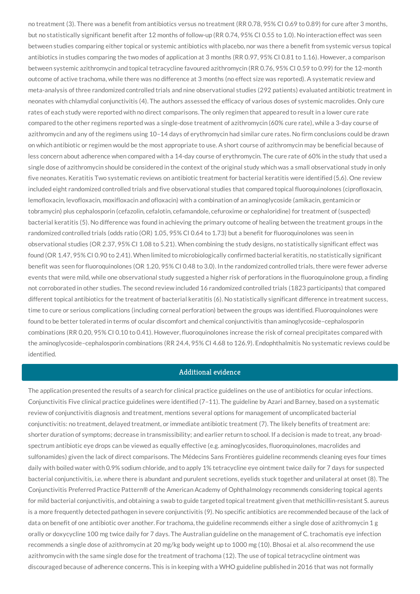no treatment (3). There was a benefit from antibiotics versus no treatment (RR 0.78, 95% CI 0.69 to 0.89) for cure after 3 months, but no statistically significant benefit after 12 months of follow-up (RR 0.74, 95% CI 0.55 to 1.0). No interaction effect was seen between studies comparing either topical or systemic antibiotics with placebo, nor was there a benefit from systemic versus topical antibiotics in studies comparing the two modes of application at 3 months (RR 0.97, 95% CI 0.81 to 1.16). However, a comparison between systemic azithromycin and topical tetracycline favoured azithromycin (RR 0.76, 95% CI 0.59 to 0.99) for the 12-month outcome of active trachoma, while there was no difference at 3 months (no effect size was reported). A systematic review and meta-analysis of three randomized controlled trials and nine observational studies (292 patients) evaluated antibiotic treatment in neonates with chlamydial conjunctivitis (4). The authors assessed the efficacy of various doses of systemic macrolides. Only cure rates of each study were reported with no direct comparisons. The only regimen that appeared to result in a lower cure rate compared to the other regimens reported was a single-dose treatment of azithromycin (60% cure rate), while a 3-day course of azithromycin and any of the regimens using 10–14 days of erythromycin had similar cure rates. No firm conclusions could be drawn on which antibiotic or regimen would be the most appropriate to use. A short course of azithromycin may be beneficial because of less concern about adherence when compared with a 14-day course of erythromycin. The cure rate of 60% in the study that used a single dose of azithromycin should be considered in the context of the original study which was a small observational study in only five neonates. Keratitis Two systematic reviews on antibiotic treatment for bacterial keratitis were identified (5,6). One review included eight randomized controlled trials and five observational studies that compared topical fluoroquinolones (ciprofloxacin, lemofloxacin, levofloxacin, moxifloxacin and ofloxacin) with a combination of an aminoglycoside (amikacin, gentamicin or tobramycin) plus cephalosporin (cefazolin, cefalotin, cefamandole, cefuroxime or cephaloridine) for treatment of (suspected) bacterial keratitis (5). No difference was found in achieving the primary outcome of healing between the treatment groups in the randomized controlled trials (odds ratio (OR) 1.05, 95% CI 0.64 to 1.73) but a benefit for fluoroquinolones was seen in observational studies (OR 2.37, 95% CI 1.08 to 5.21). When combining the study designs, no statistically significant effect was found (OR 1.47, 95% CI 0.90 to 2.41). When limited to microbiologically confirmed bacterial keratitis, no statistically significant benefit was seen for fluoroquinolones (OR 1.20, 95% CI 0.48 to 3.0). In the randomized controlled trials, there were fewer adverse events that were mild, while one observational study suggested a higher risk of perforations in the fluoroquinolone group, a finding not corroborated in other studies. The second review included 16 randomized controlled trials (1823 participants) that compared different topical antibiotics for the treatment of bacterial keratitis (6). No statistically significant difference in treatment success, time to cure or serious complications (including corneal perforation) between the groups was identified. Fluoroquinolones were found to be better tolerated in terms of ocular discomfort and chemical conjunctivitis than aminoglycoside–cephalosporin combinations (RR 0.20, 95% CI 0.10 to 0.41). However, fluoroquinolones increase the risk of corneal precipitates compared with the aminoglycoside–cephalosporin combinations (RR 24.4, 95% CI 4.68 to 126.9). Endophthalmitis No systematic reviews could be identified.

#### Additional evidence

The application presented the results of a search for clinical practice guidelines on the use of antibiotics for ocular infections. Conjunctivitis Five clinical practice guidelines were identified (7–11). The guideline by Azari and Barney, based on a systematic review of conjunctivitis diagnosis and treatment, mentions several options for management of uncomplicated bacterial conjunctivitis: no treatment, delayed treatment, or immediate antibiotic treatment (7). The likely benefits of treatment are: shorter duration of symptoms; decrease in transmissibility; and earlier return to school. If a decision is made to treat, any broadspectrum antibiotic eye drops can be viewed as equally effective (e.g. aminoglycosides, fluoroquinolones, macrolides and sulfonamides) given the lack of direct comparisons. The Médecins Sans Frontières guideline recommends cleaning eyes four times daily with boiled water with 0.9% sodium chloride, and to apply 1% tetracycline eye ointment twice daily for 7 days for suspected bacterial conjunctivitis, i.e. where there is abundant and purulent secretions, eyelids stuck together and unilateral at onset (8). The Conjunctivitis Preferred Practice Pattern® of the American Academy of Ophthalmology recommends considering topical agents for mild bacterial conjunctivitis, and obtaining a swab to guide targeted topical treatment given that methicillin-resistant S. aureus is a more frequently detected pathogen in severe conjunctivitis (9). No specific antibiotics are recommended because of the lack of data on benefit of one antibiotic over another. For trachoma, the guideline recommends either a single dose of azithromycin 1 g orally or doxycycline 100 mg twice daily for 7 days. The Australian guideline on the management of C. trachomatis eye infection recommends a single dose of azithromycin at 20 mg/kg body weight up to 1000 mg (10). Bhosai et al. also recommend the use azithromycin with the same single dose for the treatment of trachoma (12). The use of topical tetracycline ointment was discouraged because of adherence concerns. This is in keeping with a WHO guideline published in 2016 that was not formally